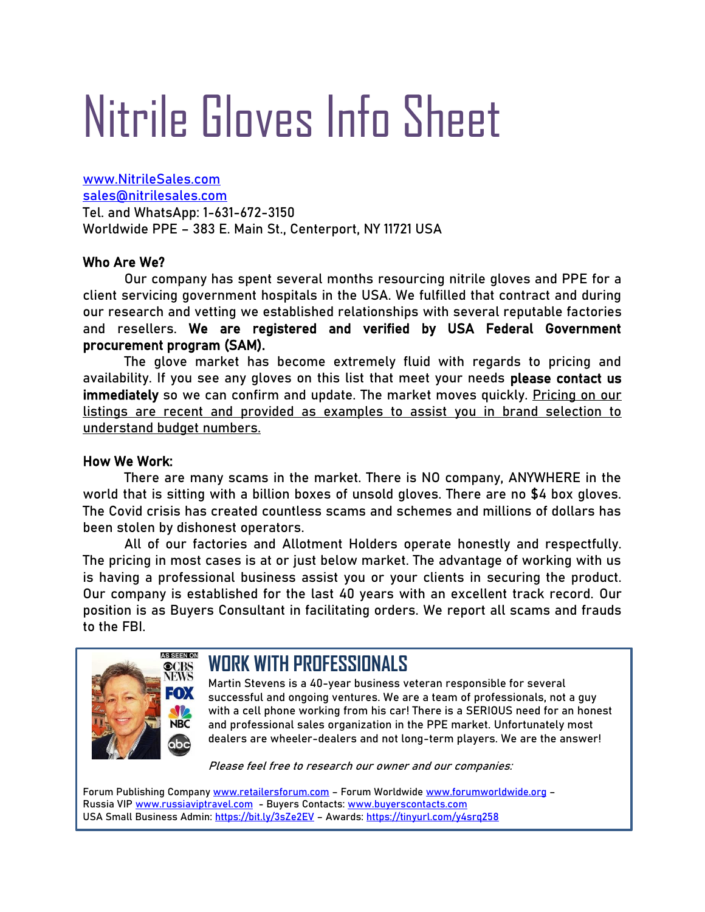# Nitrile Gloves Info Sheet

[www.NitrileSales.com](http://www.nitrilesales.com/) [sales@nitrilesales.com](mailto:sales@nitrilesales.com) Tel. and WhatsApp: 1-631-672-3150 Worldwide PPE – 383 E. Main St., Centerport, NY 11721 USA

## Who Are We?

Our company has spent several months resourcing nitrile gloves and PPE for a client servicing government hospitals in the USA. We fulfilled that contract and during our research and vetting we established relationships with several reputable factories and resellers. We are registered and verified by USA Federal Government procurement program (SAM).

The glove market has become extremely fluid with regards to pricing and availability. If you see any gloves on this list that meet your needs please contact us immediately so we can confirm and update. The market moves quickly. Pricing on our listings are recent and provided as examples to assist you in brand selection to understand budget numbers.

## How We Work:

There are many scams in the market. There is NO company, ANYWHERE in the world that is sitting with a billion boxes of unsold gloves. There are no \$4 box gloves. The Covid crisis has created countless scams and schemes and millions of dollars has been stolen by dishonest operators.

All of our factories and Allotment Holders operate honestly and respectfully. The pricing in most cases is at or just below market. The advantage of working with us is having a professional business assist you or your clients in securing the product. Our company is established for the last 40 years with an excellent track record. Our position is as Buyers Consultant in facilitating orders. We report all scams and frauds to the FBI.



## **WORK WITH PROFESSIONALS**

Martin Stevens is a 40-year business veteran responsible for several successful and ongoing ventures. We are a team of professionals, not a guy with a cell phone working from his car! There is a SERIOUS need for an honest and professional sales organization in the PPE market. Unfortunately most dealers are wheeler-dealers and not long-term players. We are the answer!

Please feel free to research our owner and our companies:

Forum Publishing Company [www.retailersforum.com](http://www.retailersforum.com/) - Forum Worldwide [www.forumworldwide.org](http://www.forumworldwide.org/) -Russia VI[P www.russiaviptravel.com](http://www.russiaviptravel.com/) - Buyers Contacts: [www.buyerscontacts.com](http://www.buyerscontacts.com/) USA Small Business Admin:<https://bit.ly/3sZe2EV> - Awards:<https://tinyurl.com/y4srq258>